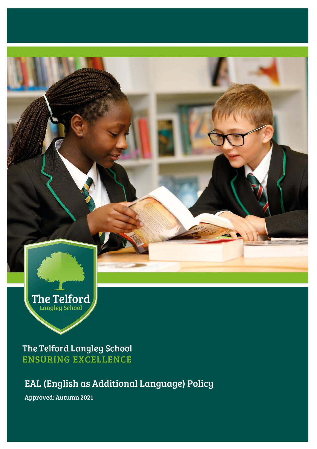

EAL (English as Additional Language) Policy

Approved: Autumn 2021

The Telford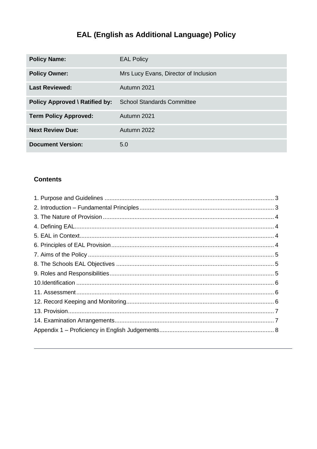# EAL (English as Additional Language) Policy

| <b>Policy Name:</b>                   | <b>EAL Policy</b>                     |
|---------------------------------------|---------------------------------------|
| <b>Policy Owner:</b>                  | Mrs Lucy Evans, Director of Inclusion |
| <b>Last Reviewed:</b>                 | Autumn 2021                           |
| <b>Policy Approved \ Ratified by:</b> | <b>School Standards Committee</b>     |
| <b>Term Policy Approved:</b>          | Autumn 2021                           |
| <b>Next Review Due:</b>               | Autumn 2022                           |
| <b>Document Version:</b>              | 5.0                                   |

### **Contents**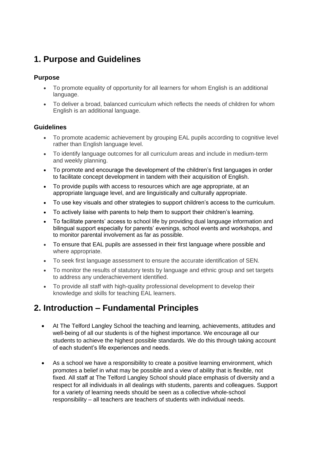## <span id="page-2-0"></span>**1. Purpose and Guidelines**

#### **Purpose**

- To promote equality of opportunity for all learners for whom English is an additional language.
- To deliver a broad, balanced curriculum which reflects the needs of children for whom English is an additional language.

### **Guidelines**

- To promote academic achievement by grouping EAL pupils according to cognitive level rather than English language level.
- To identify language outcomes for all curriculum areas and include in medium-term and weekly planning.
- To promote and encourage the development of the children's first languages in order to facilitate concept development in tandem with their acquisition of English.
- To provide pupils with access to resources which are age appropriate, at an appropriate language level, and are linguistically and culturally appropriate.
- To use key visuals and other strategies to support children's access to the curriculum.
- To actively liaise with parents to help them to support their children's learning.
- To facilitate parents' access to school life by providing dual language information and bilingual support especially for parents' evenings, school events and workshops, and to monitor parental involvement as far as possible.
- To ensure that EAL pupils are assessed in their first language where possible and where appropriate.
- To seek first language assessment to ensure the accurate identification of SEN.
- To monitor the results of statutory tests by language and ethnic group and set targets to address any underachievement identified.
- To provide all staff with high-quality professional development to develop their knowledge and skills for teaching EAL learners.

### <span id="page-2-1"></span>**2. Introduction – Fundamental Principles**

- At The Telford Langley School the teaching and learning, achievements, attitudes and well-being of all our students is of the highest importance. We encourage all our students to achieve the highest possible standards. We do this through taking account of each student's life experiences and needs.
- As a school we have a responsibility to create a positive learning environment, which promotes a belief in what may be possible and a view of ability that is flexible, not fixed. All staff at The Telford Langley School should place emphasis of diversity and a respect for all individuals in all dealings with students, parents and colleagues. Support for a variety of learning needs should be seen as a collective whole-school responsibility – all teachers are teachers of students with individual needs.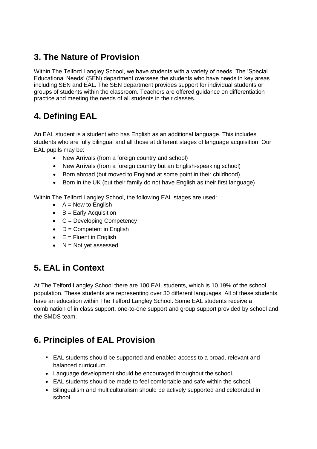# <span id="page-3-0"></span>**3. The Nature of Provision**

Within The Telford Langley School, we have students with a variety of needs. The 'Special Educational Needs' (SEN) department oversees the students who have needs in key areas including SEN and EAL. The SEN department provides support for individual students or groups of students within the classroom. Teachers are offered guidance on differentiation practice and meeting the needs of all students in their classes.

# <span id="page-3-1"></span>**4. Defining EAL**

An EAL student is a student who has English as an additional language. This includes students who are fully bilingual and all those at different stages of language acquisition. Our EAL pupils may be:

- New Arrivals (from a foreign country and school)
- New Arrivals (from a foreign country but an English-speaking school)
- Born abroad (but moved to England at some point in their childhood)
- Born in the UK (but their family do not have English as their first language)

Within The Telford Langley School, the following EAL stages are used:

- $\bullet$  A = New to English
- $\bullet$  B = Early Acquisition
- $\bullet$   $C =$  Developing Competency
- $\bullet$  D = Competent in English
- $\bullet$   $E =$  Fluent in English
- $\bullet$  N = Not yet assessed

# <span id="page-3-2"></span>**5. EAL in Context**

At The Telford Langley School there are 100 EAL students, which is 10.19% of the school population. These students are representing over 30 different languages. All of these students have an education within The Telford Langley School. Some EAL students receive a combination of in class support, one-to-one support and group support provided by school and the SMDS team.

### <span id="page-3-3"></span>**6. Principles of EAL Provision**

- EAL students should be supported and enabled access to a broad, relevant and balanced curriculum.
- Language development should be encouraged throughout the school.
- EAL students should be made to feel comfortable and safe within the school.
- Bilingualism and multiculturalism should be actively supported and celebrated in school.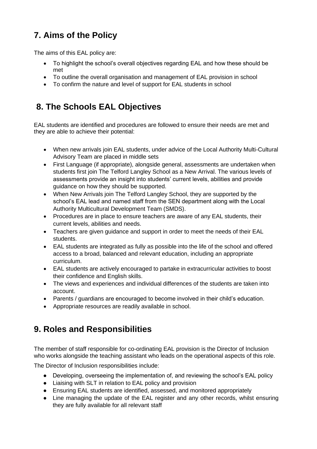# <span id="page-4-0"></span>**7. Aims of the Policy**

The aims of this EAL policy are:

- To highlight the school's overall objectives regarding EAL and how these should be met
- To outline the overall organisation and management of EAL provision in school
- To confirm the nature and level of support for EAL students in school

## <span id="page-4-1"></span>**8. The Schools EAL Objectives**

EAL students are identified and procedures are followed to ensure their needs are met and they are able to achieve their potential:

- When new arrivals join EAL students, under advice of the Local Authority Multi-Cultural Advisory Team are placed in middle sets
- First Language (if appropriate), alongside general, assessments are undertaken when students first join The Telford Langley School as a New Arrival. The various levels of assessments provide an insight into students' current levels, abilities and provide guidance on how they should be supported.
- When New Arrivals join The Telford Langley School, they are supported by the school's EAL lead and named staff from the SEN department along with the Local Authority Multicultural Development Team (SMDS).
- Procedures are in place to ensure teachers are aware of any EAL students, their current levels, abilities and needs.
- Teachers are given guidance and support in order to meet the needs of their EAL students.
- EAL students are integrated as fully as possible into the life of the school and offered access to a broad, balanced and relevant education, including an appropriate curriculum.
- EAL students are actively encouraged to partake in extracurricular activities to boost their confidence and English skills.
- The views and experiences and individual differences of the students are taken into account.
- Parents / guardians are encouraged to become involved in their child's education.
- Appropriate resources are readily available in school.

# <span id="page-4-2"></span>**9. Roles and Responsibilities**

The member of staff responsible for co-ordinating EAL provision is the Director of Inclusion who works alongside the teaching assistant who leads on the operational aspects of this role.

The Director of Inclusion responsibilities include:

- Developing, overseeing the implementation of, and reviewing the school's EAL policy
- Liaising with SLT in relation to EAL policy and provision
- Ensuring EAL students are identified, assessed, and monitored appropriately
- Line managing the update of the EAL register and any other records, whilst ensuring they are fully available for all relevant staff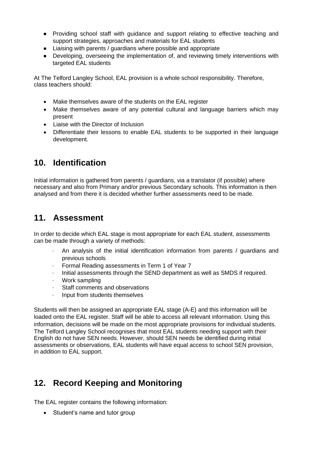- Providing school staff with guidance and support relating to effective teaching and support strategies, approaches and materials for EAL students
- Liaising with parents / guardians where possible and appropriate
- Developing, overseeing the implementation of, and reviewing timely interventions with targeted EAL students

At The Telford Langley School, EAL provision is a whole school responsibility. Therefore, class teachers should:

- Make themselves aware of the students on the EAL register
- Make themselves aware of any potential cultural and language barriers which may present
- Liaise with the Director of Inclusion
- Differentiate their lessons to enable EAL students to be supported in their language development.

### <span id="page-5-0"></span>**10. Identification**

Initial information is gathered from parents / guardians, via a translator (if possible) where necessary and also from Primary and/or previous Secondary schools. This information is then analysed and from there it is decided whether further assessments need to be made.

### <span id="page-5-1"></span>**11. Assessment**

In order to decide which EAL stage is most appropriate for each EAL student, assessments can be made through a variety of methods:

- · An analysis of the initial identification information from parents / guardians and previous schools
- Formal Reading assessments in Term 1 of Year 7
- · Initial assessments through the SEND department as well as SMDS if required.
- Work sampling
- Staff comments and observations
- · Input from students themselves

Students will then be assigned an appropriate EAL stage (A-E) and this information will be loaded onto the EAL register. Staff will be able to access all relevant information. Using this information, decisions will be made on the most appropriate provisions for individual students. The Telford Langley School recognises that most EAL students needing support with their English do not have SEN needs. However, should SEN needs be identified during initial assessments or observations, EAL students will have equal access to school SEN provision, in addition to EAL support.

# <span id="page-5-2"></span>**12. Record Keeping and Monitoring**

The EAL register contains the following information:

• Student's name and tutor group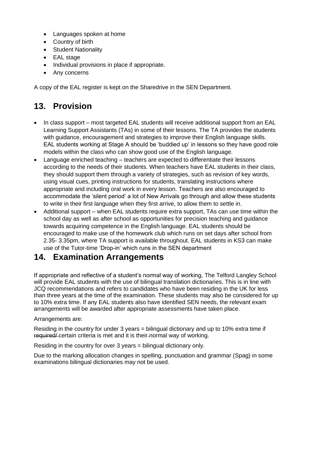- Languages spoken at home
- Country of birth
- Student Nationality
- EAL stage
- Individual provisions in place if appropriate.
- Any concerns

A copy of the EAL register is kept on the Sharedrive in the SEN Department.

# <span id="page-6-0"></span>**13. Provision**

- In class support most targeted EAL students will receive additional support from an EAL Learning Support Assistants (TAs) in some of their lessons. The TA provides the students with guidance, encouragement and strategies to improve their English language skills. EAL students working at Stage A should be 'buddied up' in lessons so they have good role models within the class who can show good use of the English language.
- Language enriched teaching teachers are expected to differentiate their lessons according to the needs of their students. When teachers have EAL students in their class, they should support them through a variety of strategies, such as revision of key words, using visual cues, printing instructions for students, translating instructions where appropriate and including oral work in every lesson. Teachers are also encouraged to accommodate the 'silent period' a lot of New Arrivals go through and allow these students to write in their first language when they first arrive, to allow them to settle in.
- Additional support when EAL students require extra support, TAs can use time within the school day as well as after school as opportunities for precision teaching and guidance towards acquiring competence in the English language. EAL students should be encouraged to make use of the homework club which runs on set days after school from 2.35- 3.35pm, where TA support is available throughout. EAL students in KS3 can make use of the Tutor-time 'Drop-in' which runs in the SEN department

### <span id="page-6-1"></span>**14. Examination Arrangements**

If appropriate and reflective of a student's normal way of working, The Telford Langley School will provide EAL students with the use of bilingual translation dictionaries. This is in line with JCQ recommendations and refers to candidates who have been residing in the UK for less than three years at the time of the examination. These students may also be considered for up to 10% extra time. If any EAL students also have identified SEN needs, the relevant exam arrangements will be awarded after appropriate assessments have taken place.

#### Arrangements are:

Residing in the country for under 3 years = bilingual dictionary and up to 10% extra time if required/ certain criteria is met and it is their normal way of working.

Residing in the country for over 3 years = bilingual dictionary only.

Due to the marking allocation changes in spelling, punctuation and grammar (Spag) in some examinations bilingual dictionaries may not be used.